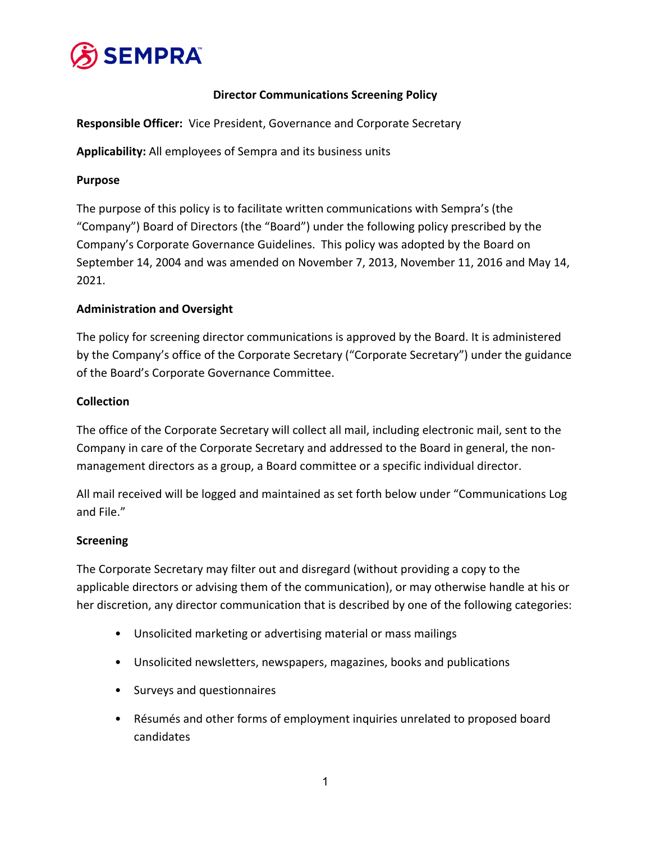

# **Director Communications Screening Policy**

**Responsible Officer:** Vice President, Governance and Corporate Secretary

**Applicability:** All employees of Sempra and its business units

## **Purpose**

The purpose of this policy is to facilitate written communications with Sempra's (the "Company") Board of Directors (the "Board") under the following policy prescribed by the Company's Corporate Governance Guidelines. This policy was adopted by the Board on September 14, 2004 and was amended on November 7, 2013, November 11, 2016 and May 14, 2021.

# **Administration and Oversight**

The policy for screening director communications is approved by the Board. It is administered by the Company's office of the Corporate Secretary ("Corporate Secretary") under the guidance of the Board's Corporate Governance Committee.

## **Collection**

The office of the Corporate Secretary will collect all mail, including electronic mail, sent to the Company in care of the Corporate Secretary and addressed to the Board in general, the non‐ management directors as a group, a Board committee or a specific individual director.

All mail received will be logged and maintained as set forth below under "Communications Log and File."

## **Screening**

The Corporate Secretary may filter out and disregard (without providing a copy to the applicable directors or advising them of the communication), or may otherwise handle at his or her discretion, any director communication that is described by one of the following categories:

- Unsolicited marketing or advertising material or mass mailings
- Unsolicited newsletters, newspapers, magazines, books and publications
- Surveys and questionnaires
- Résumés and other forms of employment inquiries unrelated to proposed board candidates